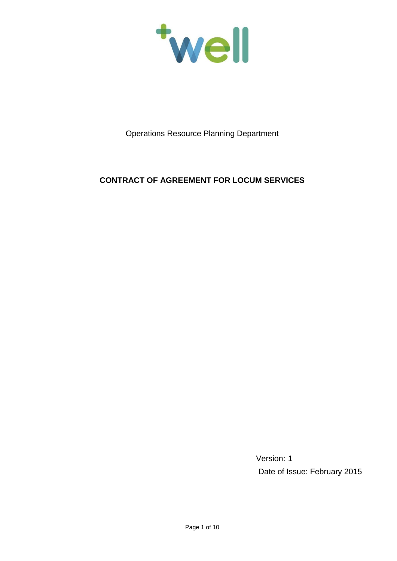

Operations Resource Planning Department

# **CONTRACT OF AGREEMENT FOR LOCUM SERVICES**

Version: 1 Date of Issue: February 2015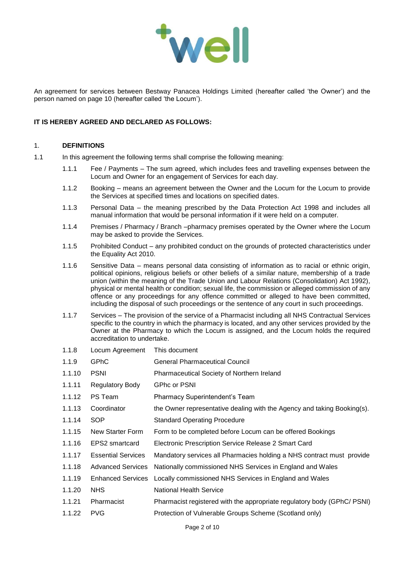

An agreement for services between Bestway Panacea Holdings Limited (hereafter called 'the Owner') and the person named on page 10 (hereafter called 'the Locum').

## **IT IS HEREBY AGREED AND DECLARED AS FOLLOWS:**

### 1. **DEFINITIONS**

- 1.1 In this agreement the following terms shall comprise the following meaning:
	- 1.1.1 Fee / Payments The sum agreed, which includes fees and travelling expenses between the Locum and Owner for an engagement of Services for each day.
	- 1.1.2 Booking means an agreement between the Owner and the Locum for the Locum to provide the Services at specified times and locations on specified dates.
	- 1.1.3 Personal Data the meaning prescribed by the Data Protection Act 1998 and includes all manual information that would be personal information if it were held on a computer.
	- 1.1.4 Premises / Pharmacy / Branch –pharmacy premises operated by the Owner where the Locum may be asked to provide the Services.
	- 1.1.5 Prohibited Conduct any prohibited conduct on the grounds of protected characteristics under the Equality Act 2010.
	- 1.1.6 Sensitive Data means personal data consisting of information as to racial or ethnic origin, political opinions, religious beliefs or other beliefs of a similar nature, membership of a trade union (within the meaning of the Trade Union and Labour Relations (Consolidation) Act 1992), physical or mental health or condition; sexual life, the commission or alleged commission of any offence or any proceedings for any offence committed or alleged to have been committed, including the disposal of such proceedings or the sentence of any court in such proceedings.
	- 1.1.7 Services The provision of the service of a Pharmacist including all NHS Contractual Services specific to the country in which the pharmacy is located, and any other services provided by the Owner at the Pharmacy to which the Locum is assigned, and the Locum holds the required accreditation to undertake.
	- 1.1.8 Locum Agreement This document
	- 1.1.9 GPhC General Pharmaceutical Council
	- 1.1.10 PSNI Pharmaceutical Society of Northern Ireland
	- 1.1.11 Regulatory Body GPhc or PSNI
	- 1.1.12 PS Team Pharmacy Superintendent's Team
	- 1.1.13 Coordinator the Owner representative dealing with the Agency and taking Booking(s).
	- 1.1.14 SOP Standard Operating Procedure
	- 1.1.15 New Starter Form Form to be completed before Locum can be offered Bookings
	- 1.1.16 EPS2 smartcard Electronic Prescription Service Release 2 Smart Card
	- 1.1.17 Essential Services Mandatory services all Pharmacies holding a NHS contract must provide
	- 1.1.18 Advanced Services Nationally commissioned NHS Services in England and Wales
	- 1.1.19 Enhanced Services Locally commissioned NHS Services in England and Wales
	- 1.1.20 NHS National Health Service
	- 1.1.21 Pharmacist Pharmacist registered with the appropriate regulatory body (GPhC/ PSNI)
	- 1.1.22 PVG Protection of Vulnerable Groups Scheme (Scotland only)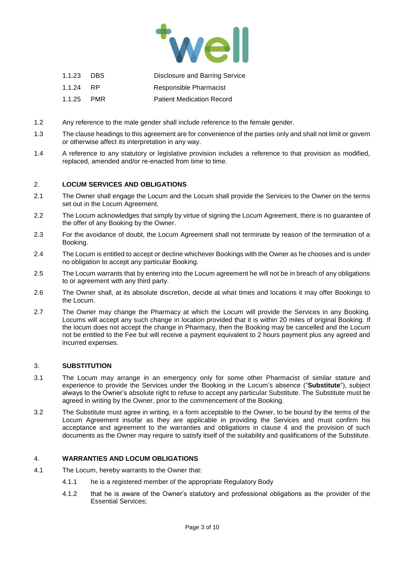

| 1.1.23 DBS |            | Disclosure and Barring Service   |
|------------|------------|----------------------------------|
| 1.1.24     | -RP        | Responsible Pharmacist           |
| 1.1.25     | <b>PMR</b> | <b>Patient Medication Record</b> |

- 1.2 Any reference to the male gender shall include reference to the female gender.
- 1.3 The clause headings to this agreement are for convenience of the parties only and shall not limit or govern or otherwise affect its interpretation in any way.
- 1.4 A reference to any statutory or legislative provision includes a reference to that provision as modified, replaced, amended and/or re-enacted from time to time.

### 2. **LOCUM SERVICES AND OBLIGATIONS**

- 2.1 The Owner shall engage the Locum and the Locum shall provide the Services to the Owner on the terms set out in the Locum Agreement.
- 2.2 The Locum acknowledges that simply by virtue of signing the Locum Agreement, there is no guarantee of the offer of any Booking by the Owner.
- 2.3 For the avoidance of doubt, the Locum Agreement shall not terminate by reason of the termination of a Booking.
- 2.4 The Locum is entitled to accept or decline whichever Bookings with the Owner as he chooses and is under no obligation to accept any particular Booking.
- 2.5 The Locum warrants that by entering into the Locum agreement he will not be in breach of any obligations to or agreement with any third party.
- 2.6 The Owner shall, at its absolute discretion, decide at what times and locations it may offer Bookings to the Locum.
- 2.7 The Owner may change the Pharmacy at which the Locum will provide the Services in any Booking. Locums will accept any such change in location provided that it is within 20 miles of original Booking. If the locum does not accept the change in Pharmacy, then the Booking may be cancelled and the Locum not be entitled to the Fee but will receive a payment equivalent to 2 hours payment plus any agreed and incurred expenses.

#### 3. **SUBSTITUTION**

- 3.1 The Locum may arrange in an emergency only for some other Pharmacist of similar stature and experience to provide the Services under the Booking in the Locum's absence ("**Substitute**"), subject always to the Owner's absolute right to refuse to accept any particular Substitute. The Substitute must be agreed in writing by the Owner, prior to the commencement of the Booking.
- 3.2 The Substitute must agree in writing, in a form acceptable to the Owner, to be bound by the terms of the Locum Agreement insofar as they are applicable in providing the Services and must confirm his acceptance and agreement to the warranties and obligations in clause 4 and the provision of such documents as the Owner may require to satisfy itself of the suitability and qualifications of the Substitute.

#### 4. **WARRANTIES AND LOCUM OBLIGATIONS**

- 4.1 The Locum, hereby warrants to the Owner that:
	- 4.1.1 he is a registered member of the appropriate Regulatory Body
	- 4.1.2 that he is aware of the Owner's statutory and professional obligations as the provider of the Essential Services;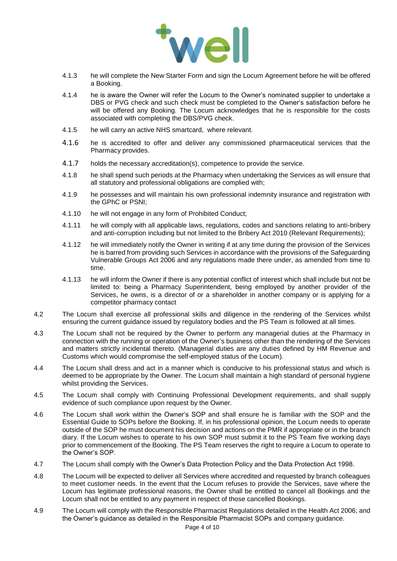

- 4.1.3 he will complete the New Starter Form and sign the Locum Agreement before he will be offered a Booking.
- 4.1.4 he is aware the Owner will refer the Locum to the Owner's nominated supplier to undertake a DBS or PVG check and such check must be completed to the Owner's satisfaction before he will be offered any Booking. The Locum acknowledges that he is responsible for the costs associated with completing the DBS/PVG check.
- 4.1.5 he will carry an active NHS smartcard, where relevant.
- 4.1.6 he is accredited to offer and deliver any commissioned pharmaceutical services that the Pharmacy provides.
- 4.1.7 holds the necessary accreditation(s), competence to provide the service.
- 4.1.8 he shall spend such periods at the Pharmacy when undertaking the Services as will ensure that all statutory and professional obligations are complied with;
- 4.1.9 he possesses and will maintain his own professional indemnity insurance and registration with the GPhC or PSNI;
- 4.1.10 he will not engage in any form of Prohibited Conduct;
- 4.1.11 he will comply with all applicable laws, regulations, codes and sanctions relating to anti-bribery and anti-corruption including but not limited to the Bribery Act 2010 (Relevant Requirements);
- 4.1.12 he will immediately notify the Owner in writing if at any time during the provision of the Services he is barred from providing such Services in accordance with the provisions of the Safeguarding Vulnerable Groups Act 2006 and any regulations made there under, as amended from time to time.
- 4.1.13 he will inform the Owner if there is any potential conflict of interest which shall include but not be limited to: being a Pharmacy Superintendent, being employed by another provider of the Services, he owns, is a director of or a shareholder in another company or is applying for a competitor pharmacy contact
- 4.2 The Locum shall exercise all professional skills and diligence in the rendering of the Services whilst ensuring the current guidance issued by regulatory bodies and the PS Team is followed at all times.
- 4.3 The Locum shall not be required by the Owner to perform any managerial duties at the Pharmacy in connection with the running or operation of the Owner's business other than the rendering of the Services and matters strictly incidental thereto. (Managerial duties are any duties defined by HM Revenue and Customs which would compromise the self-employed status of the Locum).
- 4.4 The Locum shall dress and act in a manner which is conducive to his professional status and which is deemed to be appropriate by the Owner. The Locum shall maintain a high standard of personal hygiene whilst providing the Services.
- 4.5 The Locum shall comply with Continuing Professional Development requirements, and shall supply evidence of such compliance upon request by the Owner.
- 4.6 The Locum shall work within the Owner's SOP and shall ensure he is familiar with the SOP and the Essential Guide to SOPs before the Booking. If, in his professional opinion, the Locum needs to operate outside of the SOP he must document his decision and actions on the PMR if appropriate or in the branch diary. If the Locum wishes to operate to his own SOP must submit it to the PS Team five working days prior to commencement of the Booking. The PS Team reserves the right to require a Locum to operate to the Owner's SOP.
- 4.7 The Locum shall comply with the Owner's Data Protection Policy and the Data Protection Act 1998.
- 4.8 The Locum will be expected to deliver all Services where accredited and requested by branch colleagues to meet customer needs. In the event that the Locum refuses to provide the Services, save where the Locum has legitimate professional reasons, the Owner shall be entitled to cancel all Bookings and the Locum shall not be entitled to any payment in respect of those cancelled Bookings.
- 4.9 The Locum will comply with the Responsible Pharmacist Regulations detailed in the Health Act 2006; and the Owner's guidance as detailed in the Responsible Pharmacist SOPs and company guidance.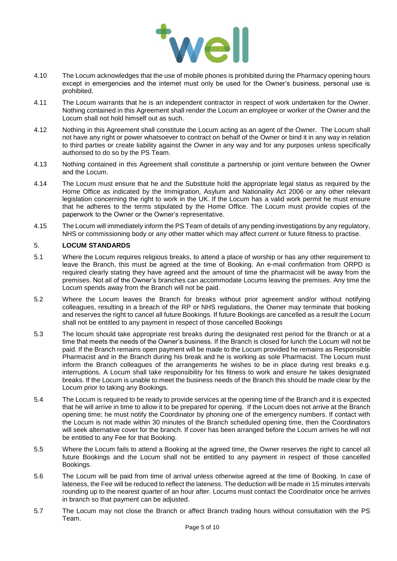

- 4.10 The Locum acknowledges that the use of mobile phones is prohibited during the Pharmacy opening hours except in emergencies and the internet must only be used for the Owner's business, personal use is prohibited.
- 4.11 The Locum warrants that he is an independent contractor in respect of work undertaken for the Owner. Nothing contained in this Agreement shall render the Locum an employee or worker of the Owner and the Locum shall not hold himself out as such.
- 4.12 Nothing in this Agreement shall constitute the Locum acting as an agent of the Owner. The Locum shall not have any right or power whatsoever to contract on behalf of the Owner or bind it in any way in relation to third parties or create liability against the Owner in any way and for any purposes unless specifically authorised to do so by the PS Team.
- 4.13 Nothing contained in this Agreement shall constitute a partnership or joint venture between the Owner and the Locum.
- 4.14 The Locum must ensure that he and the Substitute hold the appropriate legal status as required by the Home Office as indicated by the Immigration, Asylum and Nationality Act 2006 or any other relevant legislation concerning the right to work in the UK. If the Locum has a valid work permit he must ensure that he adheres to the terms stipulated by the Home Office. The Locum must provide copies of the paperwork to the Owner or the Owner's representative.
- 4.15 The Locum will immediately inform the PS Team of details of any pending investigations by any regulatory, NHS or commissioning body or any other matter which may affect current or future fitness to practise.

## 5. **LOCUM STANDARDS**

- 5.1 Where the Locum requires religious breaks, to attend a place of worship or has any other requirement to leave the Branch, this must be agreed at the time of Booking. An e-mail confirmation from ORPD is required clearly stating they have agreed and the amount of time the pharmacist will be away from the premises. Not all of the Owner's branches can accommodate Locums leaving the premises. Any time the Locum spends away from the Branch will not be paid.
- 5.2 Where the Locum leaves the Branch for breaks without prior agreement and/or without notifying colleagues, resulting in a breach of the RP or NHS regulations, the Owner may terminate that booking and reserves the right to cancel all future Bookings. If future Bookings are cancelled as a result the Locum shall not be entitled to any payment in respect of those cancelled Bookings
- 5.3 The locum should take appropriate rest breaks during the designated rest period for the Branch or at a time that meets the needs of the Owner's business. If the Branch is closed for lunch the Locum will not be paid. If the Branch remains open payment will be made to the Locum provided he remains as Responsible Pharmacist and in the Branch during his break and he is working as sole Pharmacist. The Locum must inform the Branch colleagues of the arrangements he wishes to be in place during rest breaks e.g. interruptions. A Locum shall take responsibility for his fitness to work and ensure he takes designated breaks. If the Locum is unable to meet the business needs of the Branch this should be made clear by the Locum prior to taking any Bookings.
- 5.4 The Locum is required to be ready to provide services at the opening time of the Branch and it is expected that he will arrive in time to allow it to be prepared for opening. If the Locum does not arrive at the Branch opening time; he must notify the Coordinator by phoning one of the emergency numbers. If contact with the Locum is not made within 30 minutes of the Branch scheduled opening time, then the Coordinators will seek alternative cover for the branch. If cover has been arranged before the Locum arrives he will not be entitled to any Fee for that Booking.
- 5.5 Where the Locum fails to attend a Booking at the agreed time, the Owner reserves the right to cancel all future Bookings and the Locum shall not be entitled to any payment in respect of those cancelled Bookings.
- 5.6 The Locum will be paid from time of arrival unless otherwise agreed at the time of Booking. In case of lateness, the Fee will be reduced to reflect the lateness. The deduction will be made in 15 minutes intervals rounding up to the nearest quarter of an hour after. Locums must contact the Coordinator once he arrives in branch so that payment can be adjusted.
- 5.7 The Locum may not close the Branch or affect Branch trading hours without consultation with the PS Team.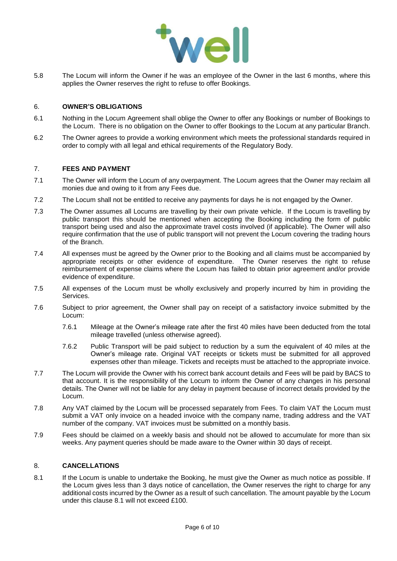

5.8 The Locum will inform the Owner if he was an employee of the Owner in the last 6 months, where this applies the Owner reserves the right to refuse to offer Bookings.

#### 6. **OWNER'S OBLIGATIONS**

- 6.1 Nothing in the Locum Agreement shall oblige the Owner to offer any Bookings or number of Bookings to the Locum. There is no obligation on the Owner to offer Bookings to the Locum at any particular Branch.
- 6.2 The Owner agrees to provide a working environment which meets the professional standards required in order to comply with all legal and ethical requirements of the Regulatory Body.

### 7. **FEES AND PAYMENT**

- 7.1 The Owner will inform the Locum of any overpayment. The Locum agrees that the Owner may reclaim all monies due and owing to it from any Fees due.
- 7.2 The Locum shall not be entitled to receive any payments for days he is not engaged by the Owner.
- 7.3 The Owner assumes all Locums are travelling by their own private vehicle. If the Locum is travelling by public transport this should be mentioned when accepting the Booking including the form of public transport being used and also the approximate travel costs involved (if applicable). The Owner will also require confirmation that the use of public transport will not prevent the Locum covering the trading hours of the Branch.
- 7.4 All expenses must be agreed by the Owner prior to the Booking and all claims must be accompanied by appropriate receipts or other evidence of expenditure. The Owner reserves the right to refuse reimbursement of expense claims where the Locum has failed to obtain prior agreement and/or provide evidence of expenditure.
- 7.5 All expenses of the Locum must be wholly exclusively and properly incurred by him in providing the Services.
- 7.6 Subject to prior agreement, the Owner shall pay on receipt of a satisfactory invoice submitted by the Locum:
	- 7.6.1 Mileage at the Owner's mileage rate after the first 40 miles have been deducted from the total mileage travelled (unless otherwise agreed).
	- 7.6.2 Public Transport will be paid subject to reduction by a sum the equivalent of 40 miles at the Owner's mileage rate. Original VAT receipts or tickets must be submitted for all approved expenses other than mileage. Tickets and receipts must be attached to the appropriate invoice.
- 7.7 The Locum will provide the Owner with his correct bank account details and Fees will be paid by BACS to that account. It is the responsibility of the Locum to inform the Owner of any changes in his personal details. The Owner will not be liable for any delay in payment because of incorrect details provided by the Locum.
- 7.8 Any VAT claimed by the Locum will be processed separately from Fees. To claim VAT the Locum must submit a VAT only invoice on a headed invoice with the company name, trading address and the VAT number of the company. VAT invoices must be submitted on a monthly basis.
- 7.9 Fees should be claimed on a weekly basis and should not be allowed to accumulate for more than six weeks. Any payment queries should be made aware to the Owner within 30 days of receipt.

## 8. **CANCELLATIONS**

8.1 If the Locum is unable to undertake the Booking, he must give the Owner as much notice as possible. If the Locum gives less than 3 days notice of cancellation, the Owner reserves the right to charge for any additional costs incurred by the Owner as a result of such cancellation. The amount payable by the Locum under this clause 8.1 will not exceed £100.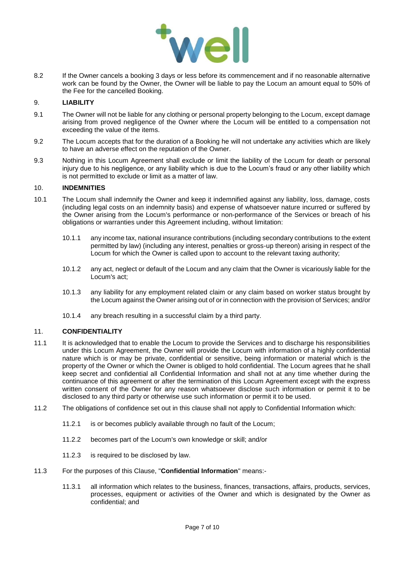

8.2 If the Owner cancels a booking 3 days or less before its commencement and if no reasonable alternative work can be found by the Owner, the Owner will be liable to pay the Locum an amount equal to 50% of the Fee for the cancelled Booking.

### 9. **LIABILITY**

- 9.1 The Owner will not be liable for any clothing or personal property belonging to the Locum, except damage arising from proved negligence of the Owner where the Locum will be entitled to a compensation not exceeding the value of the items.
- 9.2 The Locum accepts that for the duration of a Booking he will not undertake any activities which are likely to have an adverse effect on the reputation of the Owner.
- 9.3 Nothing in this Locum Agreement shall exclude or limit the liability of the Locum for death or personal injury due to his negligence, or any liability which is due to the Locum's fraud or any other liability which is not permitted to exclude or limit as a matter of law.

#### 10. **INDEMNITIES**

- 10.1 The Locum shall indemnify the Owner and keep it indemnified against any liability, loss, damage, costs (including legal costs on an indemnity basis) and expense of whatsoever nature incurred or suffered by the Owner arising from the Locum's performance or non-performance of the Services or breach of his obligations or warranties under this Agreement including, without limitation:
	- 10.1.1 any income tax, national insurance contributions (including secondary contributions to the extent permitted by law) (including any interest, penalties or gross-up thereon) arising in respect of the Locum for which the Owner is called upon to account to the relevant taxing authority;
	- 10.1.2 any act, neglect or default of the Locum and any claim that the Owner is vicariously liable for the Locum's act;
	- 10.1.3 any liability for any employment related claim or any claim based on worker status brought by the Locum against the Owner arising out of or in connection with the provision of Services; and/or
	- 10.1.4 any breach resulting in a successful claim by a third party.

## 11. **CONFIDENTIALITY**

- 11.1 It is acknowledged that to enable the Locum to provide the Services and to discharge his responsibilities under this Locum Agreement, the Owner will provide the Locum with information of a highly confidential nature which is or may be private, confidential or sensitive, being information or material which is the property of the Owner or which the Owner is obliged to hold confidential. The Locum agrees that he shall keep secret and confidential all Confidential Information and shall not at any time whether during the continuance of this agreement or after the termination of this Locum Agreement except with the express written consent of the Owner for any reason whatsoever disclose such information or permit it to be disclosed to any third party or otherwise use such information or permit it to be used.
- 11.2 The obligations of confidence set out in this clause shall not apply to Confidential Information which:
	- 11.2.1 is or becomes publicly available through no fault of the Locum;
	- 11.2.2 becomes part of the Locum's own knowledge or skill; and/or
	- 11.2.3 is required to be disclosed by law.
- 11.3 For the purposes of this Clause, "**Confidential Information**" means:-
	- 11.3.1 all information which relates to the business, finances, transactions, affairs, products, services, processes, equipment or activities of the Owner and which is designated by the Owner as confidential; and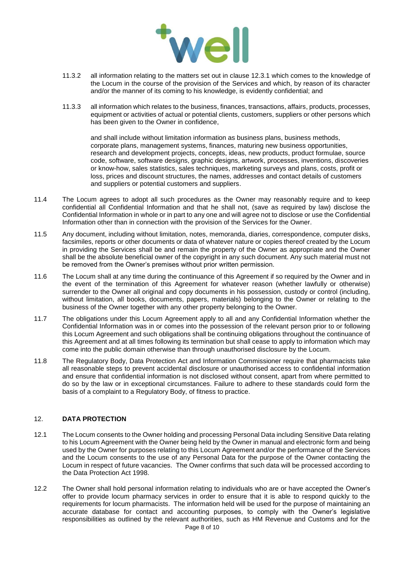

- 11.3.2 all information relating to the matters set out in clause 12.3.1 which comes to the knowledge of the Locum in the course of the provision of the Services and which, by reason of its character and/or the manner of its coming to his knowledge, is evidently confidential; and
- 11.3.3 all information which relates to the business, finances, transactions, affairs, products, processes, equipment or activities of actual or potential clients, customers, suppliers or other persons which has been given to the Owner in confidence,

and shall include without limitation information as business plans, business methods, corporate plans, management systems, finances, maturing new business opportunities, research and development projects, concepts, ideas, new products, product formulae, source code, software, software designs, graphic designs, artwork, processes, inventions, discoveries or know-how, sales statistics, sales techniques, marketing surveys and plans, costs, profit or loss, prices and discount structures, the names, addresses and contact details of customers and suppliers or potential customers and suppliers.

- 11.4 The Locum agrees to adopt all such procedures as the Owner may reasonably require and to keep confidential all Confidential Information and that he shall not, (save as required by law) disclose the Confidential Information in whole or in part to any one and will agree not to disclose or use the Confidential Information other than in connection with the provision of the Services for the Owner.
- 11.5 Any document, including without limitation, notes, memoranda, diaries, correspondence, computer disks, facsimiles, reports or other documents or data of whatever nature or copies thereof created by the Locum in providing the Services shall be and remain the property of the Owner as appropriate and the Owner shall be the absolute beneficial owner of the copyright in any such document. Any such material must not be removed from the Owner's premises without prior written permission.
- 11.6 The Locum shall at any time during the continuance of this Agreement if so required by the Owner and in the event of the termination of this Agreement for whatever reason (whether lawfully or otherwise) surrender to the Owner all original and copy documents in his possession, custody or control (including, without limitation, all books, documents, papers, materials) belonging to the Owner or relating to the business of the Owner together with any other property belonging to the Owner.
- 11.7 The obligations under this Locum Agreement apply to all and any Confidential Information whether the Confidential Information was in or comes into the possession of the relevant person prior to or following this Locum Agreement and such obligations shall be continuing obligations throughout the continuance of this Agreement and at all times following its termination but shall cease to apply to information which may come into the public domain otherwise than through unauthorised disclosure by the Locum.
- 11.8 The Regulatory Body, Data Protection Act and Information Commissioner require that pharmacists take all reasonable steps to prevent accidental disclosure or unauthorised access to confidential information and ensure that confidential information is not disclosed without consent, apart from where permitted to do so by the law or in exceptional circumstances. Failure to adhere to these standards could form the basis of a complaint to a Regulatory Body, of fitness to practice.

## 12. **DATA PROTECTION**

- 12.1 The Locum consents to the Owner holding and processing Personal Data including Sensitive Data relating to his Locum Agreement with the Owner being held by the Owner in manual and electronic form and being used by the Owner for purposes relating to this Locum Agreement and/or the performance of the Services and the Locum consents to the use of any Personal Data for the purpose of the Owner contacting the Locum in respect of future vacancies. The Owner confirms that such data will be processed according to the Data Protection Act 1998.
- 12.2 The Owner shall hold personal information relating to individuals who are or have accepted the Owner's offer to provide locum pharmacy services in order to ensure that it is able to respond quickly to the requirements for locum pharmacists. The information held will be used for the purpose of maintaining an accurate database for contact and accounting purposes, to comply with the Owner's legislative responsibilities as outlined by the relevant authorities, such as HM Revenue and Customs and for the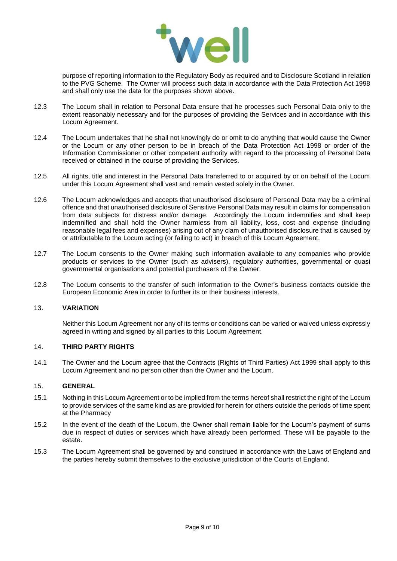

purpose of reporting information to the Regulatory Body as required and to Disclosure Scotland in relation to the PVG Scheme. The Owner will process such data in accordance with the Data Protection Act 1998 and shall only use the data for the purposes shown above.

- 12.3 The Locum shall in relation to Personal Data ensure that he processes such Personal Data only to the extent reasonably necessary and for the purposes of providing the Services and in accordance with this Locum Agreement.
- 12.4 The Locum undertakes that he shall not knowingly do or omit to do anything that would cause the Owner or the Locum or any other person to be in breach of the Data Protection Act 1998 or order of the Information Commissioner or other competent authority with regard to the processing of Personal Data received or obtained in the course of providing the Services.
- 12.5 All rights, title and interest in the Personal Data transferred to or acquired by or on behalf of the Locum under this Locum Agreement shall vest and remain vested solely in the Owner.
- 12.6 The Locum acknowledges and accepts that unauthorised disclosure of Personal Data may be a criminal offence and that unauthorised disclosure of Sensitive Personal Data may result in claims for compensation from data subjects for distress and/or damage. Accordingly the Locum indemnifies and shall keep indemnified and shall hold the Owner harmless from all liability, loss, cost and expense (including reasonable legal fees and expenses) arising out of any clam of unauthorised disclosure that is caused by or attributable to the Locum acting (or failing to act) in breach of this Locum Agreement.
- 12.7 The Locum consents to the Owner making such information available to any companies who provide products or services to the Owner (such as advisers), regulatory authorities, governmental or quasi governmental organisations and potential purchasers of the Owner.
- 12.8 The Locum consents to the transfer of such information to the Owner's business contacts outside the European Economic Area in order to further its or their business interests.

## 13. **VARIATION**

Neither this Locum Agreement nor any of its terms or conditions can be varied or waived unless expressly agreed in writing and signed by all parties to this Locum Agreement.

#### 14. **THIRD PARTY RIGHTS**

14.1 The Owner and the Locum agree that the Contracts (Rights of Third Parties) Act 1999 shall apply to this Locum Agreement and no person other than the Owner and the Locum.

#### 15. **GENERAL**

- 15.1 Nothing in this Locum Agreement or to be implied from the terms hereof shall restrict the right of the Locum to provide services of the same kind as are provided for herein for others outside the periods of time spent at the Pharmacy
- 15.2 In the event of the death of the Locum, the Owner shall remain liable for the Locum's payment of sums due in respect of duties or services which have already been performed. These will be payable to the estate.
- 15.3 The Locum Agreement shall be governed by and construed in accordance with the Laws of England and the parties hereby submit themselves to the exclusive jurisdiction of the Courts of England.